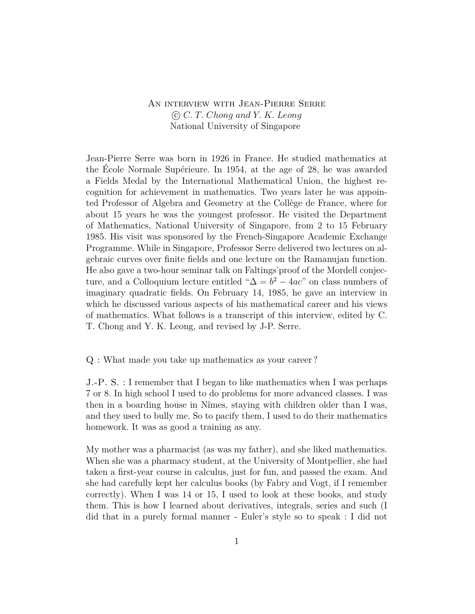## An interview with Jean-Pierre Serre c *C. T. Chong and Y. K. Leong* National University of Singapore

Jean-Pierre Serre was born in 1926 in France. He studied mathematics at the École Normale Supérieure. In 1954, at the age of 28, he was awarded a Fields Medal by the International Mathematical Union, the highest recognition for achievement in mathematics. Two years later he was appointed Professor of Algebra and Geometry at the Collège de France, where for about 15 years he was the youngest professor. He visited the Department of Mathematics, National University of Singapore, from 2 to 15 February 1985. His visit was sponsored by the French-Singapore Academic Exchange Programme. While in Singapore, Professor Serre delivered two lectures on algebraic curves over finite fields and one lecture on the Ramanujan function. He also gave a two-hour seminar talk on Faltings'proof of the Mordell conjecture, and a Colloquium lecture entitled " $\Delta = b^2 - 4ac$ " on class numbers of imaginary quadratic fields. On February 14, 1985, he gave an interview in which he discussed various aspects of his mathematical career and his views of mathematics. What follows is a transcript of this interview, edited by C. T. Chong and Y. K. Leong, and revised by J-P. Serre.

Q : What made you take up mathematics as your career ?

J.-P. S. : I remember that I began to like mathematics when I was perhaps 7 or 8. In high school I used to do problems for more advanced classes. I was then in a boarding house in Nîmes, staying with children older than I was, and they used to bully me. So to pacify them, I used to do their mathematics homework. It was as good a training as any.

My mother was a pharmacist (as was my father), and she liked mathematics. When she was a pharmacy student, at the University of Montpellier, she had taken a first-year course in calculus, just for fun, and passed the exam. And she had carefully kept her calculus books (by Fabry and Vogt, if I remember correctly). When I was 14 or 15, I used to look at these books, and study them. This is how I learned about derivatives, integrals, series and such (I did that in a purely formal manner - Euler's style so to speak : I did not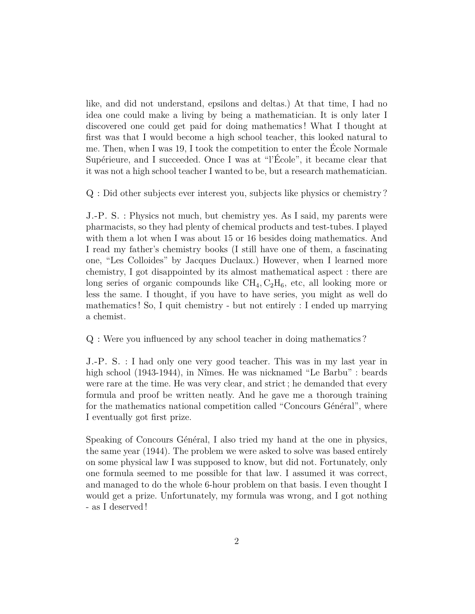like, and did not understand, epsilons and deltas.) At that time, I had no idea one could make a living by being a mathematician. It is only later I discovered one could get paid for doing mathematics ! What I thought at first was that I would become a high school teacher, this looked natural to me. Then, when I was 19, I took the competition to enter the École Normale Supérieure, and I succeeded. Once I was at "l'École", it became clear that it was not a high school teacher I wanted to be, but a research mathematician.

Q : Did other subjects ever interest you, subjects like physics or chemistry ?

J.-P. S. : Physics not much, but chemistry yes. As I said, my parents were pharmacists, so they had plenty of chemical products and test-tubes. I played with them a lot when I was about 15 or 16 besides doing mathematics. And I read my father's chemistry books (I still have one of them, a fascinating one, "Les Colloides" by Jacques Duclaux.) However, when I learned more chemistry, I got disappointed by its almost mathematical aspect : there are long series of organic compounds like  $\text{CH}_4, \text{C}_2\text{H}_6$ , etc, all looking more or less the same. I thought, if you have to have series, you might as well do mathematics ! So, I quit chemistry - but not entirely : I ended up marrying a chemist.

Q : Were you influenced by any school teacher in doing mathematics ?

J.-P. S. : I had only one very good teacher. This was in my last year in high school (1943-1944), in Nîmes. He was nicknamed "Le Barbu" : beards were rare at the time. He was very clear, and strict ; he demanded that every formula and proof be written neatly. And he gave me a thorough training for the mathematics national competition called "Concours Général", where I eventually got first prize.

Speaking of Concours Général, I also tried my hand at the one in physics, the same year (1944). The problem we were asked to solve was based entirely on some physical law I was supposed to know, but did not. Fortunately, only one formula seemed to me possible for that law. I assumed it was correct, and managed to do the whole 6-hour problem on that basis. I even thought I would get a prize. Unfortunately, my formula was wrong, and I got nothing - as I deserved !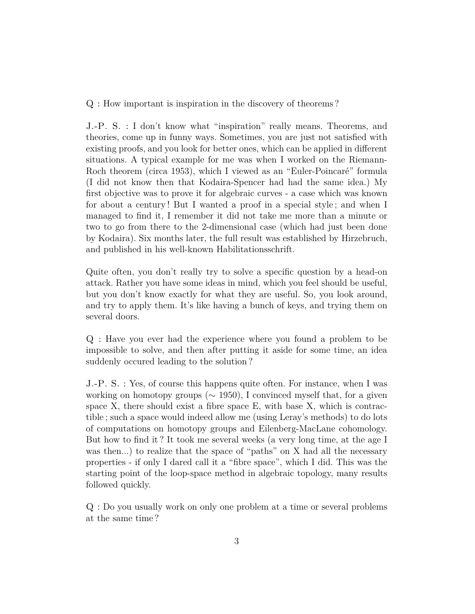Q : How important is inspiration in the discovery of theorems ?

J.-P. S. : I don't know what "inspiration" really means. Theorems, and theories, come up in funny ways. Sometimes, you are just not satisfied with existing proofs, and you look for better ones, which can be applied in different situations. A typical example for me was when I worked on the Riemann-Roch theorem (circa 1953), which I viewed as an "Euler-Poincaré" formula (I did not know then that Kodaira-Spencer had had the same idea.) My first objective was to prove it for algebraic curves - a case which was known for about a century ! But I wanted a proof in a special style ; and when I managed to find it, I remember it did not take me more than a minute or two to go from there to the 2-dimensional case (which had just been done by Kodaira). Six months later, the full result was established by Hirzebruch, and published in his well-known Habilitationsschrift.

Quite often, you don't really try to solve a specific question by a head-on attack. Rather you have some ideas in mind, which you feel should be useful, but you don't know exactly for what they are useful. So, you look around, and try to apply them. It's like having a bunch of keys, and trying them on several doors.

Q : Have you ever had the experience where you found a problem to be impossible to solve, and then after putting it aside for some time, an idea suddenly occured leading to the solution ?

J.-P. S. : Yes, of course this happens quite often. For instance, when I was working on homotopy groups (∼ 1950), I convinced myself that, for a given space X, there should exist a fibre space  $E$ , with base X, which is contractible ; such a space would indeed allow me (using Leray's methods) to do lots of computations on homotopy groups and Eilenberg-MacLane cohomology. But how to find it ? It took me several weeks (a very long time, at the age I was then...) to realize that the space of "paths" on X had all the necessary properties - if only I dared call it a "fibre space", which I did. This was the starting point of the loop-space method in algebraic topology, many results followed quickly.

Q : Do you usually work on only one problem at a time or several problems at the same time ?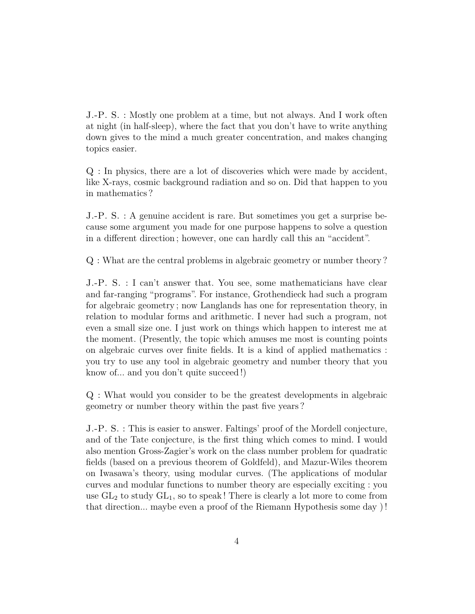J.-P. S. : Mostly one problem at a time, but not always. And I work often at night (in half-sleep), where the fact that you don't have to write anything down gives to the mind a much greater concentration, and makes changing topics easier.

Q : In physics, there are a lot of discoveries which were made by accident, like X-rays, cosmic background radiation and so on. Did that happen to you in mathematics ?

J.-P. S. : A genuine accident is rare. But sometimes you get a surprise because some argument you made for one purpose happens to solve a question in a different direction ; however, one can hardly call this an "accident".

Q : What are the central problems in algebraic geometry or number theory ?

J.-P. S. : I can't answer that. You see, some mathematicians have clear and far-ranging "programs". For instance, Grothendieck had such a program for algebraic geometry ; now Langlands has one for representation theory, in relation to modular forms and arithmetic. I never had such a program, not even a small size one. I just work on things which happen to interest me at the moment. (Presently, the topic which amuses me most is counting points on algebraic curves over finite fields. It is a kind of applied mathematics : you try to use any tool in algebraic geometry and number theory that you know of... and you don't quite succeed !)

Q : What would you consider to be the greatest developments in algebraic geometry or number theory within the past five years ?

J.-P. S. : This is easier to answer. Faltings' proof of the Mordell conjecture, and of the Tate conjecture, is the first thing which comes to mind. I would also mention Gross-Zagier's work on the class number problem for quadratic fields (based on a previous theorem of Goldfeld), and Mazur-Wiles theorem on Iwasawa's theory, using modular curves. (The applications of modular curves and modular functions to number theory are especially exciting : you use  $GL_2$  to study  $GL_1$ , so to speak! There is clearly a lot more to come from that direction... maybe even a proof of the Riemann Hypothesis some day ) !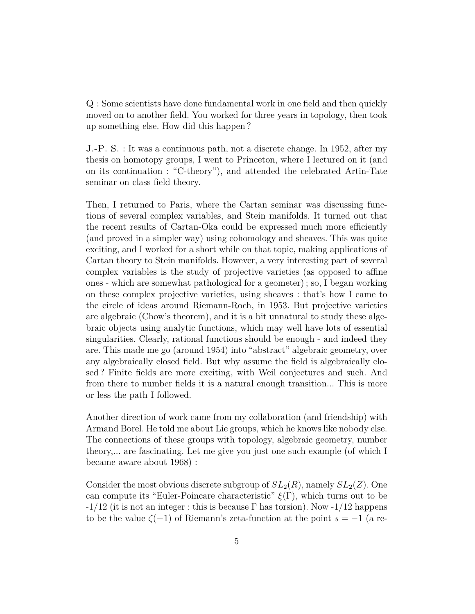Q : Some scientists have done fundamental work in one field and then quickly moved on to another field. You worked for three years in topology, then took up something else. How did this happen ?

J.-P. S. : It was a continuous path, not a discrete change. In 1952, after my thesis on homotopy groups, I went to Princeton, where I lectured on it (and on its continuation : "C-theory"), and attended the celebrated Artin-Tate seminar on class field theory.

Then, I returned to Paris, where the Cartan seminar was discussing functions of several complex variables, and Stein manifolds. It turned out that the recent results of Cartan-Oka could be expressed much more efficiently (and proved in a simpler way) using cohomology and sheaves. This was quite exciting, and I worked for a short while on that topic, making applications of Cartan theory to Stein manifolds. However, a very interesting part of several complex variables is the study of projective varieties (as opposed to affine ones - which are somewhat pathological for a geometer) ; so, I began working on these complex projective varieties, using sheaves : that's how I came to the circle of ideas around Riemann-Roch, in 1953. But projective varieties are algebraic (Chow's theorem), and it is a bit unnatural to study these algebraic objects using analytic functions, which may well have lots of essential singularities. Clearly, rational functions should be enough - and indeed they are. This made me go (around 1954) into "abstract" algebraic geometry, over any algebraically closed field. But why assume the field is algebraically closed ? Finite fields are more exciting, with Weil conjectures and such. And from there to number fields it is a natural enough transition... This is more or less the path I followed.

Another direction of work came from my collaboration (and friendship) with Armand Borel. He told me about Lie groups, which he knows like nobody else. The connections of these groups with topology, algebraic geometry, number theory,... are fascinating. Let me give you just one such example (of which I became aware about 1968) :

Consider the most obvious discrete subgroup of  $SL_2(R)$ , namely  $SL_2(Z)$ . One can compute its "Euler-Poincare characteristic"  $\xi(\Gamma)$ , which turns out to be  $-1/12$  (it is not an integer : this is because  $\Gamma$  has torsion). Now  $-1/12$  happens to be the value  $\zeta(-1)$  of Riemann's zeta-function at the point  $s = -1$  (a re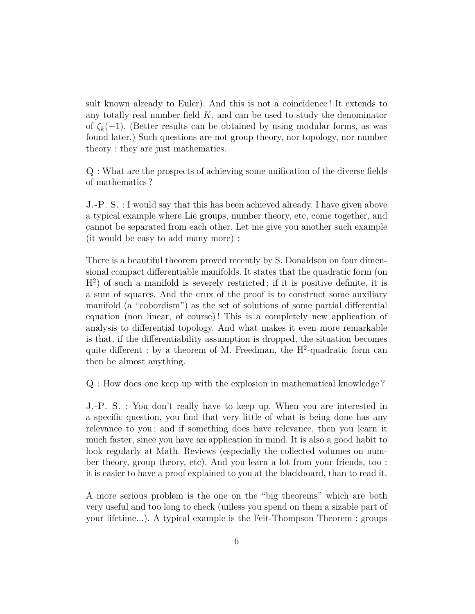sult known already to Euler). And this is not a coincidence ! It extends to any totally real number field *K*, and can be used to study the denominator of  $\zeta_k(-1)$ . (Better results can be obtained by using modular forms, as was found later.) Such questions are not group theory, nor topology, nor number theory : they are just mathematics.

Q : What are the prospects of achieving some unification of the diverse fields of mathematics ?

J.-P. S. : I would say that this has been achieved already. I have given above a typical example where Lie groups, number theory, etc, come together, and cannot be separated from each other. Let me give you another such example (it would be easy to add many more) :

There is a beautiful theorem proved recently by S. Donaldson on four dimensional compact differentiable manifolds. It states that the quadratic form (on  $H<sup>2</sup>$ ) of such a manifold is severely restricted; if it is positive definite, it is a sum of squares. And the crux of the proof is to construct some auxiliary manifold (a "cobordism") as the set of solutions of some partial differential equation (non linear, of course) ! This is a completely new application of analysis to differential topology. And what makes it even more remarkable is that, if the differentiability assumption is dropped, the situation becomes quite different : by a theorem of M. Freedman, the  $H^2$ -quadratic form can then be almost anything.

Q : How does one keep up with the explosion in mathematical knowledge ?

J.-P. S. : You don't really have to keep up. When you are interested in a specific question, you find that very little of what is being done has any relevance to you ; and if something does have relevance, then you learn it much faster, since you have an application in mind. It is also a good habit to look regularly at Math. Reviews (especially the collected volumes on number theory, group theory, etc). And you learn a lot from your friends, too : it is easier to have a proof explained to you at the blackboard, than to read it.

A more serious problem is the one on the "big theorems" which are both very useful and too long to check (unless you spend on them a sizable part of your lifetime...). A typical example is the Feit-Thompson Theorem : groups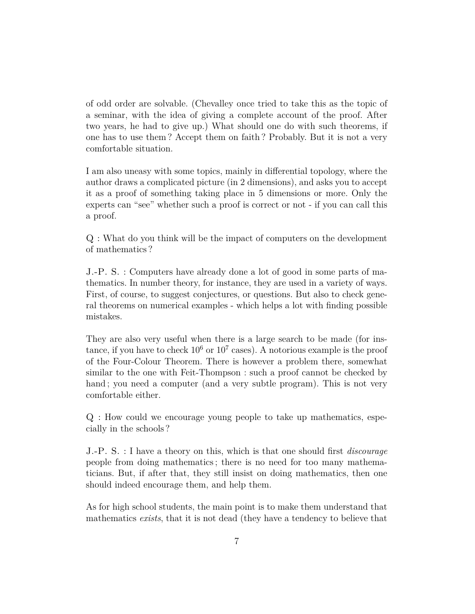of odd order are solvable. (Chevalley once tried to take this as the topic of a seminar, with the idea of giving a complete account of the proof. After two years, he had to give up.) What should one do with such theorems, if one has to use them ? Accept them on faith ? Probably. But it is not a very comfortable situation.

I am also uneasy with some topics, mainly in differential topology, where the author draws a complicated picture (in 2 dimensions), and asks you to accept it as a proof of something taking place in 5 dimensions or more. Only the experts can "see" whether such a proof is correct or not - if you can call this a proof.

Q : What do you think will be the impact of computers on the development of mathematics ?

J.-P. S. : Computers have already done a lot of good in some parts of mathematics. In number theory, for instance, they are used in a variety of ways. First, of course, to suggest conjectures, or questions. But also to check general theorems on numerical examples - which helps a lot with finding possible mistakes.

They are also very useful when there is a large search to be made (for instance, if you have to check  $10^6$  or  $10^7$  cases). A notorious example is the proof of the Four-Colour Theorem. There is however a problem there, somewhat similar to the one with Feit-Thompson : such a proof cannot be checked by hand; you need a computer (and a very subtle program). This is not very comfortable either.

Q : How could we encourage young people to take up mathematics, especially in the schools ?

J.-P. S. : I have a theory on this, which is that one should first *discourage* people from doing mathematics ; there is no need for too many mathematicians. But, if after that, they still insist on doing mathematics, then one should indeed encourage them, and help them.

As for high school students, the main point is to make them understand that mathematics *exists*, that it is not dead (they have a tendency to believe that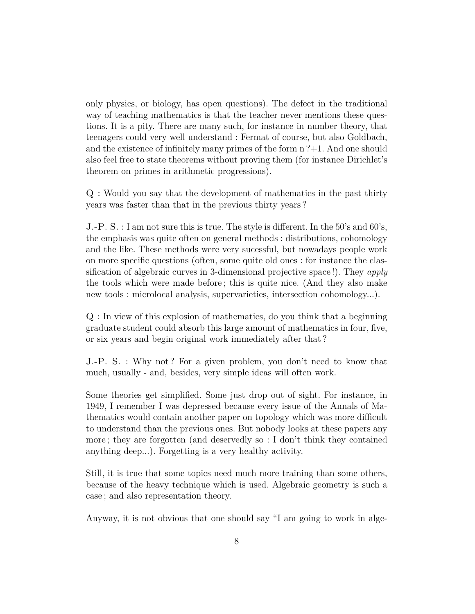only physics, or biology, has open questions). The defect in the traditional way of teaching mathematics is that the teacher never mentions these questions. It is a pity. There are many such, for instance in number theory, that teenagers could very well understand : Fermat of course, but also Goldbach, and the existence of infinitely many primes of the form  $n^2+1$ . And one should also feel free to state theorems without proving them (for instance Dirichlet's theorem on primes in arithmetic progressions).

Q : Would you say that the development of mathematics in the past thirty years was faster than that in the previous thirty years ?

J.-P. S. : I am not sure this is true. The style is different. In the 50's and 60's, the emphasis was quite often on general methods : distributions, cohomology and the like. These methods were very sucessful, but nowadays people work on more specific questions (often, some quite old ones : for instance the classification of algebraic curves in 3-dimensional projective space !). They *apply* the tools which were made before ; this is quite nice. (And they also make new tools : microlocal analysis, supervarieties, intersection cohomology...).

Q : In view of this explosion of mathematics, do you think that a beginning graduate student could absorb this large amount of mathematics in four, five, or six years and begin original work immediately after that ?

J.-P. S. : Why not ? For a given problem, you don't need to know that much, usually - and, besides, very simple ideas will often work.

Some theories get simplified. Some just drop out of sight. For instance, in 1949, I remember I was depressed because every issue of the Annals of Mathematics would contain another paper on topology which was more difficult to understand than the previous ones. But nobody looks at these papers any more ; they are forgotten (and deservedly so : I don't think they contained anything deep...). Forgetting is a very healthy activity.

Still, it is true that some topics need much more training than some others, because of the heavy technique which is used. Algebraic geometry is such a case ; and also representation theory.

Anyway, it is not obvious that one should say "I am going to work in alge-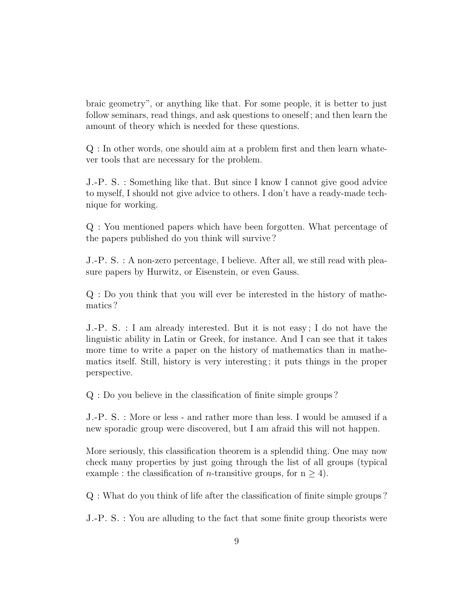braic geometry", or anything like that. For some people, it is better to just follow seminars, read things, and ask questions to oneself ; and then learn the amount of theory which is needed for these questions.

Q : In other words, one should aim at a problem first and then learn whatever tools that are necessary for the problem.

J.-P. S. : Something like that. But since I know I cannot give good advice to myself, I should not give advice to others. I don't have a ready-made technique for working.

Q : You mentioned papers which have been forgotten. What percentage of the papers published do you think will survive ?

J.-P. S. : A non-zero percentage, I believe. After all, we still read with pleasure papers by Hurwitz, or Eisenstein, or even Gauss.

Q : Do you think that you will ever be interested in the history of mathematics ?

J.-P. S. : I am already interested. But it is not easy ; I do not have the linguistic ability in Latin or Greek, for instance. And I can see that it takes more time to write a paper on the history of mathematics than in mathematics itself. Still, history is very interesting ; it puts things in the proper perspective.

Q : Do you believe in the classification of finite simple groups ?

J.-P. S. : More or less - and rather more than less. I would be amused if a new sporadic group were discovered, but I am afraid this will not happen.

More seriously, this classification theorem is a splendid thing. One may now check many properties by just going through the list of all groups (typical example : the classification of *n*-transitive groups, for  $n \geq 4$ ).

Q : What do you think of life after the classification of finite simple groups ?

J.-P. S. : You are alluding to the fact that some finite group theorists were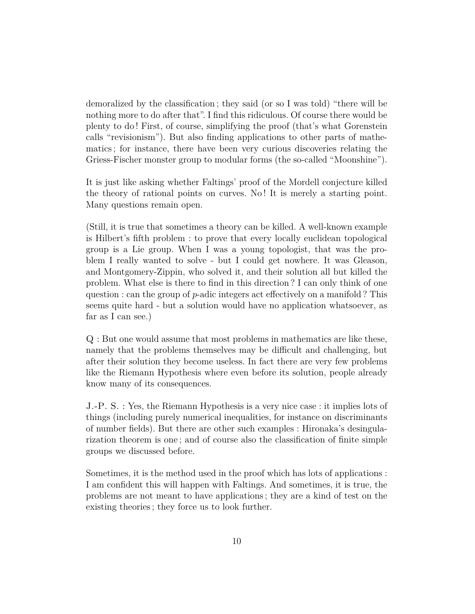demoralized by the classification ; they said (or so I was told) "there will be nothing more to do after that". I find this ridiculous. Of course there would be plenty to do ! First, of course, simplifying the proof (that's what Gorenstein calls "revisionism"). But also finding applications to other parts of mathematics ; for instance, there have been very curious discoveries relating the Griess-Fischer monster group to modular forms (the so-called "Moonshine").

It is just like asking whether Faltings' proof of the Mordell conjecture killed the theory of rational points on curves. No ! It is merely a starting point. Many questions remain open.

(Still, it is true that sometimes a theory can be killed. A well-known example is Hilbert's fifth problem : to prove that every locally euclidean topological group is a Lie group. When I was a young topologist, that was the problem I really wanted to solve - but I could get nowhere. It was Gleason, and Montgomery-Zippin, who solved it, and their solution all but killed the problem. What else is there to find in this direction ? I can only think of one question : can the group of *p*-adic integers act effectively on a manifold ? This seems quite hard - but a solution would have no application whatsoever, as far as I can see.)

Q : But one would assume that most problems in mathematics are like these, namely that the problems themselves may be difficult and challenging, but after their solution they become useless. In fact there are very few problems like the Riemann Hypothesis where even before its solution, people already know many of its consequences.

J.-P. S. : Yes, the Riemann Hypothesis is a very nice case : it implies lots of things (including purely numerical inequalities, for instance on discriminants of number fields). But there are other such examples : Hironaka's desingularization theorem is one ; and of course also the classification of finite simple groups we discussed before.

Sometimes, it is the method used in the proof which has lots of applications : I am confident this will happen with Faltings. And sometimes, it is true, the problems are not meant to have applications ; they are a kind of test on the existing theories ; they force us to look further.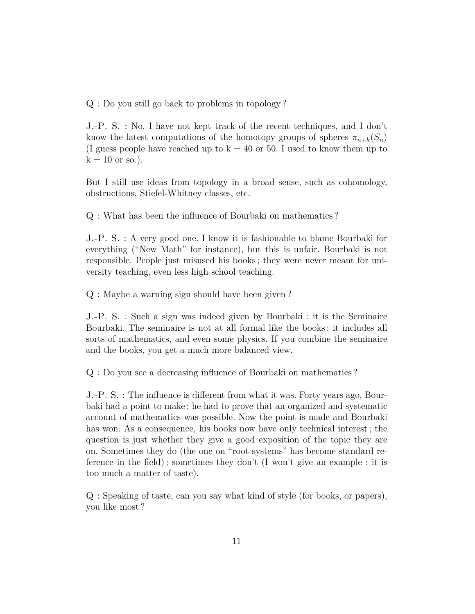Q : Do you still go back to problems in topology ?

J.-P. S. : No. I have not kept track of the recent techniques, and I don't know the latest computations of the homotopy groups of spheres  $\pi_{n+k}(S_n)$ (I guess people have reached up to  $k = 40$  or 50. I used to know them up to  $k = 10$  or so.).

But I still use ideas from topology in a broad sense, such as cohomology, obstructions, Stiefel-Whitney classes, etc.

Q : What has been the influence of Bourbaki on mathematics ?

J.-P. S. : A very good one. I know it is fashionable to blame Bourbaki for everything ("New Math" for instance), but this is unfair. Bourbaki is not responsible. People just misused his books ; they were never meant for university teaching, even less high school teaching.

Q : Maybe a warning sign should have been given ?

J.-P. S. : Such a sign was indeed given by Bourbaki : it is the Seminaire Bourbaki. The seminaire is not at all formal like the books ; it includes all sorts of mathematics, and even some physics. If you combine the seminaire and the books, you get a much more balanced view.

Q : Do you see a decreasing influence of Bourbaki on mathematics ?

J.-P. S. : The influence is different from what it was. Forty years ago, Bourbaki had a point to make ; he had to prove that an organized and systematic account of mathematics was possible. Now the point is made and Bourbaki has won. As a consequence, his books now have only technical interest ; the question is just whether they give a good exposition of the topic they are on. Sometimes they do (the one on "root systems" has become standard reference in the field) ; sometimes they don't (I won't give an example : it is too much a matter of taste).

Q : Speaking of taste, can you say what kind of style (for books, or papers), you like most ?